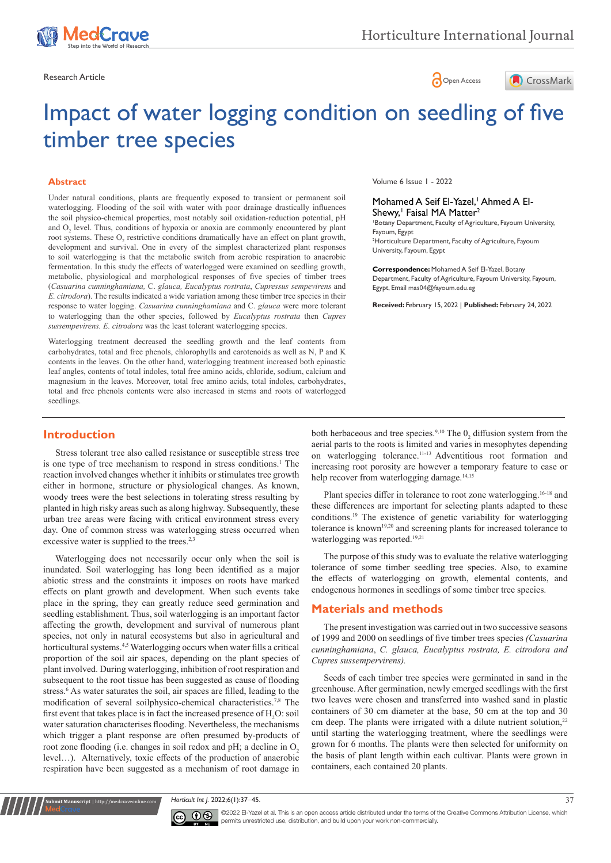





# Impact of water logging condition on seedling of five timber tree species

#### **Abstract**

Under natural conditions, plants are frequently exposed to transient or permanent soil waterlogging. Flooding of the soil with water with poor drainage drastically influences the soil physico-chemical properties, most notably soil oxidation-reduction potential, pH and  $O_2$  level. Thus, conditions of hypoxia or anoxia are commonly encountered by plant root systems. These  $O_2$  restrictive conditions dramatically have an effect on plant growth, development and survival. One in every of the simplest characterized plant responses to soil waterlogging is that the metabolic switch from aerobic respiration to anaerobic fermentation. In this study the effects of waterlogged were examined on seedling growth, metabolic, physiological and morphological responses of five species of timber trees (*Casuarina cunninghamiana,* C. *glauca, Eucalyptus rostrata*, *Cupressus sempevirens* and *E. citrodora*). The results indicated a wide variation among these timber tree species in their response to water logging. *Casuarina cunninghamiana* and C. *glauca* were more tolerant to waterlogging than the other species, followed by *Eucalyptus rostrata* then *Cupres sussempevirens. E. citrodora* was the least tolerant waterlogging species.

Waterlogging treatment decreased the seedling growth and the leaf contents from carbohydrates, total and free phenols, chlorophylls and carotenoids as well as N, P and K contents in the leaves. On the other hand, waterlogging treatment increased both epinastic leaf angles, contents of total indoles, total free amino acids, chloride, sodium, calcium and magnesium in the leaves. Moreover, total free amino acids, total indoles, carbohydrates, total and free phenols contents were also increased in stems and roots of waterlogged seedlings.

Volume 6 Issue 1 - 2022

#### Mohamed A Seif El-Yazel,<sup>1</sup> Ahmed A El-Shewy,<sup>1</sup> Faisal MA Matter<sup>2</sup>

1 Botany Department, Faculty of Agriculture, Fayoum University, Fayoum, Egypt

2 Horticulture Department, Faculty of Agriculture, Fayoum University, Fayoum, Egypt

**Correspondence:** Mohamed A Seif El-Yazel, Botany Department, Faculty of Agriculture, Fayoum University, Fayoum, Egypt, Email mas04@fayoum.edu.eg

**Received:** February 15, 2022 | **Published:** February 24, 2022

# **Introduction**

Stress tolerant tree also called resistance or susceptible stress tree is one type of tree mechanism to respond in stress conditions.<sup>1</sup> The reaction involved changes whether it inhibits or stimulates tree growth either in hormone, structure or physiological changes. As known, woody trees were the best selections in tolerating stress resulting by planted in high risky areas such as along highway. Subsequently, these urban tree areas were facing with critical environment stress every day. One of common stress was waterlogging stress occurred when excessive water is supplied to the trees.<sup>2,3</sup>

Waterlogging does not necessarily occur only when the soil is inundated. Soil waterlogging has long been identified as a major abiotic stress and the constraints it imposes on roots have marked effects on plant growth and development. When such events take place in the spring, they can greatly reduce seed germination and seedling establishment. Thus, soil waterlogging is an important factor affecting the growth, development and survival of numerous plant species, not only in natural ecosystems but also in agricultural and horticultural systems.4,5 Waterlogging occurs when water fills a critical proportion of the soil air spaces, depending on the plant species of plant involved. During waterlogging, inhibition of root respiration and subsequent to the root tissue has been suggested as cause of flooding stress.<sup>6</sup> As water saturates the soil, air spaces are filled, leading to the modification of several soilphysico-chemical characteristics.7,8 The first event that takes place is in fact the increased presence of  $\rm H_2O$ : soil water saturation characterises flooding. Nevertheless, the mechanisms which trigger a plant response are often presumed by-products of root zone flooding (i.e. changes in soil redox and pH; a decline in  $O<sub>2</sub>$ level…). Alternatively, toxic effects of the production of anaerobic respiration have been suggested as a mechanism of root damage in

both herbaceous and tree species.<sup>9,10</sup> The  $0<sub>2</sub>$  diffusion system from the aerial parts to the roots is limited and varies in mesophytes depending on waterlogging tolerance.11-13 Adventitious root formation and increasing root porosity are however a temporary feature to case or help recover from waterlogging damage.<sup>14,15</sup>

Plant species differ in tolerance to root zone waterlogging.<sup>16-18</sup> and these differences are important for selecting plants adapted to these conditions.19 The existence of genetic variability for waterlogging tolerance is known<sup>19,20</sup> and screening plants for increased tolerance to waterlogging was reported.<sup>19,21</sup>

The purpose of this study was to evaluate the relative waterlogging tolerance of some timber seedling tree species. Also, to examine the effects of waterlogging on growth, elemental contents, and endogenous hormones in seedlings of some timber tree species.

# **Materials and methods**

The present investigation was carried out in two successive seasons of 1999 and 2000 on seedlings of five timber trees species *(Casuarina cunninghamiana*, *C. glauca, Eucalyptus rostrata, E. citrodora and Cupres sussempervirens).*

Seeds of each timber tree species were germinated in sand in the greenhouse. After germination, newly emerged seedlings with the first two leaves were chosen and transferred into washed sand in plastic containers of 30 cm diameter at the base, 50 cm at the top and 30 cm deep. The plants were irrigated with a dilute nutrient solution,<sup>22</sup> until starting the waterlogging treatment, where the seedlings were grown for 6 months. The plants were then selected for uniformity on the basis of plant length within each cultivar. Plants were grown in containers, each contained 20 plants.

*Horticult Int J.* 2022;6(1):37‒45. 37



**Krit Manuscript** | http://medcraveonline.c

©2022 El-Yazel et al. This is an open access article distributed under the terms of the [Creative Commons Attribution License,](https://creativecommons.org/licenses/by-nc/4.0/) which permits unrestricted use, distribution, and build upon your work non-commercially.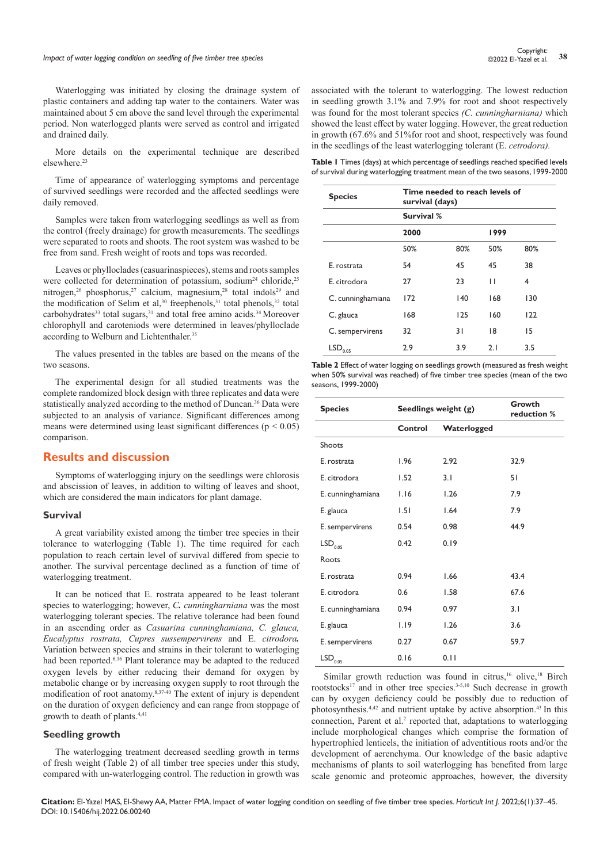# **Impact of water logging condition on seedling of five timber tree species 38** Controller **38** Controller and the state of water logging condition on seedling of five timber tree species **38** Controller and **38** Controll

Waterlogging was initiated by closing the drainage system of plastic containers and adding tap water to the containers. Water was maintained about 5 cm above the sand level through the experimental period. Non waterlogged plants were served as control and irrigated and drained daily.

More details on the experimental technique are described elsewhere.23

Time of appearance of waterlogging symptoms and percentage of survived seedlings were recorded and the affected seedlings were daily removed.

Samples were taken from waterlogging seedlings as well as from the control (freely drainage) for growth measurements. The seedlings were separated to roots and shoots. The root system was washed to be free from sand. Fresh weight of roots and tops was recorded.

Leaves or phylloclades (casuarinaspieces), stems and roots samples were collected for determination of potassium, sodium<sup>24</sup> chloride,<sup>25</sup> nitrogen,<sup>26</sup> phosphorus,<sup>27</sup> calcium, magnesium,<sup>28</sup> total indols<sup>29</sup> and the modification of Selim et al,  $30$  freephenols,  $31$  total phenols,  $32$  total carbohydrates<sup>33</sup> total sugars,<sup>31</sup> and total free amino acids.<sup>34</sup> Moreover chlorophyll and caroteniods were determined in leaves/phylloclade according to Welburn and Lichtenthaler.<sup>35</sup>

The values presented in the tables are based on the means of the two seasons.

The experimental design for all studied treatments was the complete randomized block design with three replicates and data were statistically analyzed according to the method of Duncan.<sup>36</sup> Data were subjected to an analysis of variance. Significant differences among means were determined using least significant differences ( $p < 0.05$ ) comparison.

### **Results and discussion**

Symptoms of waterlogging injury on the seedlings were chlorosis and abscission of leaves, in addition to wilting of leaves and shoot, which are considered the main indicators for plant damage.

#### **Survival**

A great variability existed among the timber tree species in their tolerance to waterlogging (Table 1). The time required for each population to reach certain level of survival differed from specie to another. The survival percentage declined as a function of time of waterlogging treatment.

It can be noticed that E. rostrata appeared to be least tolerant species to waterlogging; however, *C. cunningharniana* was the most waterlogging tolerant species. The relative tolerance had been found in an ascending order as *Casuarina cunninghamiana, C. glauca, Eucalyptus rostrata, Cupres sussempervirens* and E. *citrodora.*  Variation between species and strains in their tolerant to waterloging had been reported.<sup>6,16</sup> Plant tolerance may be adapted to the reduced oxygen levels by either reducing their demand for oxygen by metabolic change or by increasing oxygen supply to root through the modification of root anatomy.8,37-40 The extent of injury is dependent on the duration of oxygen deficiency and can range from stoppage of growth to death of plants.4,41

#### **Seedling growth**

The waterlogging treatment decreased seedling growth in terms of fresh weight (Table 2) of all timber tree species under this study, compared with un-waterlogging control. The reduction in growth was associated with the tolerant to waterlogging. The lowest reduction in seedling growth 3.1% and 7.9% for root and shoot respectively was found for the most tolerant species *(C. cunningharniana)* which showed the least effect by water logging. However, the great reduction in growth (67.6% and 51%for root and shoot, respectively was found in the seedlings of the least waterlogging tolerant (E. *cetrodora).*

**Table 1** Times (days) at which percentage of seedlings reached specified levels of survival during waterlogging treatment mean of the two seasons, 1999-2000

| <b>Species</b>           | Time needed to reach levels of<br>survival (days) |     |      |     |  |  |  |
|--------------------------|---------------------------------------------------|-----|------|-----|--|--|--|
|                          | Survival %                                        |     |      |     |  |  |  |
|                          | 2000                                              |     | 1999 |     |  |  |  |
|                          | 50%                                               | 80% | 50%  | 80% |  |  |  |
| E. rostrata              | 54                                                | 45  | 45   | 38  |  |  |  |
| E. citrodora             | 27                                                | 23  | п    | 4   |  |  |  |
| C. cunninghamiana        | 172                                               | 140 | 168  | 130 |  |  |  |
| C. glauca                | 168                                               | 125 | 160  | 122 |  |  |  |
| C. sempervirens          | 32                                                | 31  | 18   | 15  |  |  |  |
| $\mathsf{LSD}_{_{0.05}}$ | 2.9                                               | 3.9 | 2.1  | 3.5 |  |  |  |

**Table 2** Effect of water logging on seedlings growth (measured as fresh weight when 50% survival was reached) of five timber tree species (mean of the two seasons, 1999-2000)

| <b>Species</b>        | Seedlings weight (g) |             | Growth<br>reduction % |
|-----------------------|----------------------|-------------|-----------------------|
|                       | Control              | Waterlogged |                       |
| Shoots                |                      |             |                       |
| E. rostrata           | 1.96                 | 2.92        | 32.9                  |
| E. citrodora          | 1.52                 | 3.1         | 51                    |
| E. cunninghamiana     | 1.16                 | 1.26        | 7.9                   |
| E. glauca             | 1.51                 | 1.64        | 7.9                   |
| E. sempervirens       | 0.54                 | 0.98        | 44.9                  |
| LSD <sub>0.05</sub>   | 0.42                 | 0.19        |                       |
| Roots                 |                      |             |                       |
| E. rostrata           | 0.94                 | 1.66        | 43.4                  |
| E. citrodora          | 0.6                  | 1.58        | 67.6                  |
| E. cunninghamiana     | 0.94                 | 0.97        | 3.1                   |
| E. glauca             | 1.19                 | 1.26        | 3.6                   |
| E. sempervirens       | 0.27                 | 0.67        | 59.7                  |
| $\mathsf{LSD}_{0.05}$ | 0.16                 | 0.11        |                       |

Similar growth reduction was found in citrus,<sup>16</sup> olive,<sup>18</sup> Birch rootstocks<sup>17</sup> and in other tree species.<sup>3-5,10</sup> Such decrease in growth can by oxygen deficiency could be possibly due to reduction of photosynthesis.4,42 and nutrient uptake by active absorption.43 In this connection, Parent et al.<sup>2</sup> reported that, adaptations to waterlogging include morphological changes which comprise the formation of hypertrophied lenticels, the initiation of adventitious roots and/or the development of aerenchyma. Our knowledge of the basic adaptive mechanisms of plants to soil waterlogging has benefited from large scale genomic and proteomic approaches, however, the diversity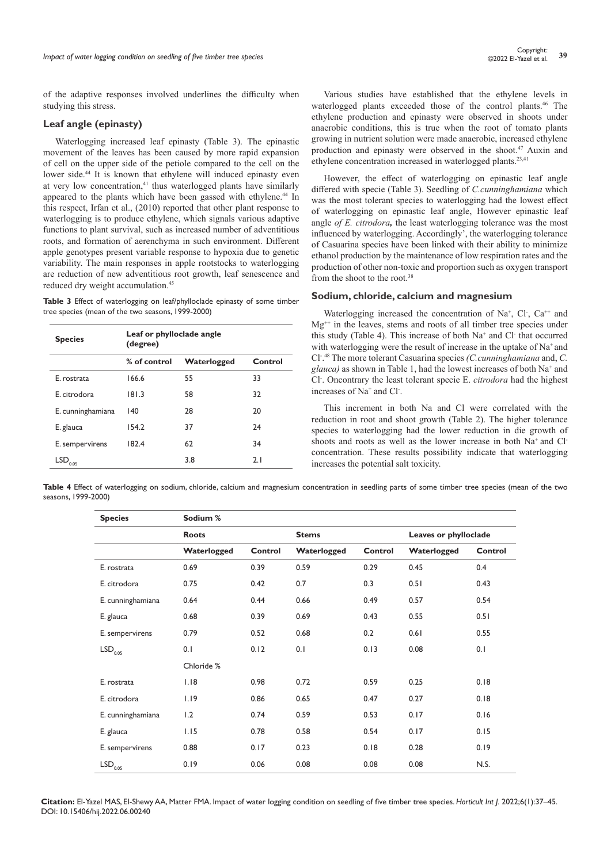of the adaptive responses involved underlines the difficulty when studying this stress.

## **Leaf angle (epinasty)**

Waterlogging increased leaf epinasty (Table 3). The epinastic movement of the leaves has been caused by more rapid expansion of cell on the upper side of the petiole compared to the cell on the lower side.44 It is known that ethylene will induced epinasty even at very low concentration,<sup>41</sup> thus waterlogged plants have similarly appeared to the plants which have been gassed with ethylene.<sup>44</sup> In this respect, Irfan et al., (2010) reported that other plant response to waterlogging is to produce ethylene, which signals various adaptive functions to plant survival, such as increased number of adventitious roots, and formation of aerenchyma in such environment. Different apple genotypes present variable response to hypoxia due to genetic variability. The main responses in apple rootstocks to waterlogging are reduction of new adventitious root growth, leaf senescence and reduced dry weight accumulation.<sup>45</sup>

**Table 3** Effect of waterlogging on leaf/phylloclade epinasty of some timber tree species (mean of the two seasons, 1999-2000)

| <b>Species</b>    | Leaf or phylloclade angle<br>(degree) |             |         |  |  |  |  |
|-------------------|---------------------------------------|-------------|---------|--|--|--|--|
|                   | % of control                          | Waterlogged | Control |  |  |  |  |
| E. rostrata       | 166.6                                 | 55          | 33      |  |  |  |  |
| E citrodora       | 181.3                                 | 58          | 32      |  |  |  |  |
| E. cunninghamiana | 140                                   | 28          | 20      |  |  |  |  |
| E. glauca         | 154.2                                 | 37          | 24      |  |  |  |  |
| E. sempervirens   | 182.4                                 | 62          | 34      |  |  |  |  |
| LSD<br>0.05       |                                       | 3.8         | 2.1     |  |  |  |  |

Various studies have established that the ethylene levels in waterlogged plants exceeded those of the control plants.46 The ethylene production and epinasty were observed in shoots under anaerobic conditions, this is true when the root of tomato plants growing in nutrient solution were made anaerobic, increased ethylene production and epinasty were observed in the shoot.47 Auxin and ethylene concentration increased in waterlogged plants.23,41

However, the effect of waterlogging on epinastic leaf angle differed with specie (Table 3). Seedling of *C.cunninghamiana* which was the most tolerant species to waterlogging had the lowest effect of waterlogging on epinastic leaf angle, However epinastic leaf angle *of E. citrodora,* the least waterlogging tolerance was the most influenced by waterlogging. Accordingly', the waterlogging tolerance of Casuarina species have been linked with their ability to minimize ethanol production by the maintenance of low respiration rates and the production of other non-toxic and proportion such as oxygen transport from the shoot to the root.38

# **Sodium, chloride, calcium and magnesium**

Waterlogging increased the concentration of Na<sup>+</sup>, Cl, Ca<sup>++</sup> and  $Mg^{++}$  in the leaves, stems and roots of all timber tree species under this study (Table 4). This increase of both Na<sup>+</sup> and Cl<sup>-</sup> that occurred with waterlogging were the result of increase in the uptake of  $Na^+$  and Cl- . 48 The more tolerant Casuarina species *(C.cunninghamiana* and, *C.*  glauca) as shown in Table 1, had the lowest increases of both Na<sup>+</sup> and Cl- . Oncontrary the least tolerant specie E. *citrodora* had the highest increases of Na<sup>+</sup> and Cl<sup>-</sup>.

This increment in both Na and Cl were correlated with the reduction in root and shoot growth (Table 2). The higher tolerance species to waterlogging had the lower reduction in die growth of shoots and roots as well as the lower increase in both Na+ and Clconcentration. These results possibility indicate that waterlogging increases the potential salt toxicity.

**Table 4** Effect of waterlogging on sodium, chloride, calcium and magnesium concentration in seedling parts of some timber tree species (mean of the two seasons, 1999-2000)

| <b>Species</b>        | Sodium %     |         |             |              |             |                       |  |
|-----------------------|--------------|---------|-------------|--------------|-------------|-----------------------|--|
|                       | <b>Roots</b> |         |             | <b>Stems</b> |             | Leaves or phylloclade |  |
|                       | Waterlogged  | Control | Waterlogged | Control      | Waterlogged | Control               |  |
| E. rostrata           | 0.69         | 0.39    | 0.59        | 0.29         | 0.45        | 0.4                   |  |
| E. citrodora          | 0.75         | 0.42    | 0.7         | 0.3          | 0.51        | 0.43                  |  |
| E. cunninghamiana     | 0.64         | 0.44    | 0.66        | 0.49         | 0.57        | 0.54                  |  |
| E. glauca             | 0.68         | 0.39    | 0.69        | 0.43         | 0.55        | 0.51                  |  |
| E. sempervirens       | 0.79         | 0.52    | 0.68        | 0.2          | 0.61        | 0.55                  |  |
| $\mathsf{LSD}_{0.05}$ | 0.1          | 0.12    | 0.1         | 0.13         | 0.08        | 0.1                   |  |
|                       | Chloride %   |         |             |              |             |                       |  |
| E. rostrata           | 1.18         | 0.98    | 0.72        | 0.59         | 0.25        | 0.18                  |  |
| E. citrodora          | 1.19         | 0.86    | 0.65        | 0.47         | 0.27        | 0.18                  |  |
| E. cunninghamiana     | 1.2          | 0.74    | 0.59        | 0.53         | 0.17        | 0.16                  |  |
| E. glauca             | 1.15         | 0.78    | 0.58        | 0.54         | 0.17        | 0.15                  |  |
| E. sempervirens       | 0.88         | 0.17    | 0.23        | 0.18         | 0.28        | 0.19                  |  |
| $\mathsf{LSD}_{0.05}$ | 0.19         | 0.06    | 0.08        | 0.08         | 0.08        | N.S.                  |  |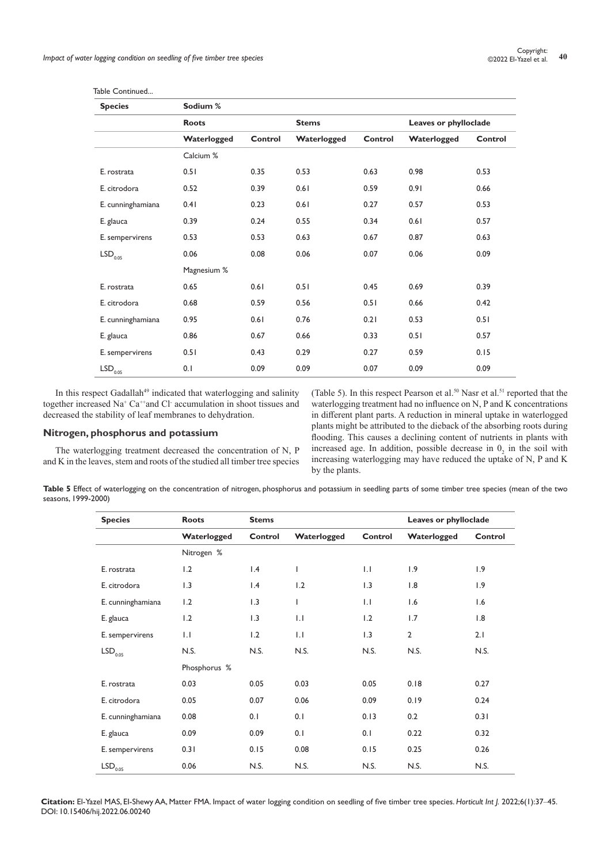| <b>Species</b>           | Sodium %     |         |              |         |                       |         |
|--------------------------|--------------|---------|--------------|---------|-----------------------|---------|
|                          | <b>Roots</b> |         | <b>Stems</b> |         | Leaves or phylloclade |         |
|                          | Waterlogged  | Control | Waterlogged  | Control | Waterlogged           | Control |
|                          | Calcium %    |         |              |         |                       |         |
| E. rostrata              | 0.51         | 0.35    | 0.53         | 0.63    | 0.98                  | 0.53    |
| E. citrodora             | 0.52         | 0.39    | 0.61         | 0.59    | 0.91                  | 0.66    |
| E. cunninghamiana        | 0.41         | 0.23    | 0.61         | 0.27    | 0.57                  | 0.53    |
| E. glauca                | 0.39         | 0.24    | 0.55         | 0.34    | 0.61                  | 0.57    |
| E. sempervirens          | 0.53         | 0.53    | 0.63         | 0.67    | 0.87                  | 0.63    |
| $\mathsf{LSD}_{_{0.05}}$ | 0.06         | 0.08    | 0.06         | 0.07    | 0.06                  | 0.09    |
|                          | Magnesium %  |         |              |         |                       |         |
| E. rostrata              | 0.65         | 0.61    | 0.51         | 0.45    | 0.69                  | 0.39    |
| E. citrodora             | 0.68         | 0.59    | 0.56         | 0.51    | 0.66                  | 0.42    |
| E. cunninghamiana        | 0.95         | 0.61    | 0.76         | 0.21    | 0.53                  | 0.51    |
| E. glauca                | 0.86         | 0.67    | 0.66         | 0.33    | 0.51                  | 0.57    |
| E. sempervirens          | 0.51         | 0.43    | 0.29         | 0.27    | 0.59                  | 0.15    |
| $\mathsf{LSD}_{0.05}$    | 0.1          | 0.09    | 0.09         | 0.07    | 0.09                  | 0.09    |

Table Continued...

In this respect Gadallah<sup>49</sup> indicated that waterlogging and salinity together increased Na<sup>+</sup> Ca<sup>++</sup>and Cl<sup>-</sup> accumulation in shoot tissues and decreased the stability of leaf membranes to dehydration.

# **Nitrogen, phosphorus and potassium**

The waterlogging treatment decreased the concentration of N, P and K in the leaves, stem and roots of the studied all timber tree species

(Table 5). In this respect Pearson et al.<sup>50</sup> Nasr et al.<sup>51</sup> reported that the waterlogging treatment had no influence on N, P and K concentrations in different plant parts. A reduction in mineral uptake in waterlogged plants might be attributed to the dieback of the absorbing roots during flooding. This causes a declining content of nutrients in plants with increased age. In addition, possible decrease in  $0<sub>2</sub>$  in the soil with increasing waterlogging may have reduced the uptake of N, P and K by the plants.

**Table 5** Effect of waterlogging on the concentration of nitrogen, phosphorus and potassium in seedling parts of some timber tree species (mean of the two seasons, 1999-2000)

| <b>Species</b>        | <b>Roots</b> | <b>Stems</b> |              |              | Leaves or phylloclade |         |
|-----------------------|--------------|--------------|--------------|--------------|-----------------------|---------|
|                       | Waterlogged  | Control      | Waterlogged  | Control      | Waterlogged           | Control |
|                       | Nitrogen %   |              |              |              |                       |         |
| E. rostrata           | 1.2          | 1.4          | $\mathbf{I}$ | $\mathsf{L}$ | 1.9                   | 1.9     |
| E. citrodora          | 1.3          | 1.4          | 1.2          | 1.3          | 1.8                   | 1.9     |
| E. cunninghamiana     | 1.2          | 1.3          | $\mathsf{I}$ | $\mathsf{L}$ | 1.6                   | 1.6     |
| E. glauca             | 1.2          | 1.3          | $\mathsf{L}$ | 1.2          | 1.7                   | 1.8     |
| E. sempervirens       | $  \cdot  $  | 1.2          | 1.1          | 1.3          | $\overline{2}$        | 2.1     |
| LSD <sub>0.05</sub>   | N.S.         | N.S.         | N.S.         | N.S.         | N.S.                  | N.S.    |
|                       | Phosphorus % |              |              |              |                       |         |
| E. rostrata           | 0.03         | 0.05         | 0.03         | 0.05         | 0.18                  | 0.27    |
| E. citrodora          | 0.05         | 0.07         | 0.06         | 0.09         | 0.19                  | 0.24    |
| E. cunninghamiana     | 0.08         | 0.1          | 0.1          | 0.13         | 0.2                   | 0.31    |
| E. glauca             | 0.09         | 0.09         | 0.1          | 0.1          | 0.22                  | 0.32    |
| E. sempervirens       | 0.31         | 0.15         | 0.08         | 0.15         | 0.25                  | 0.26    |
| $\mathsf{LSD}_{0.05}$ | 0.06         | N.S.         | N.S.         | N.S.         | N.S.                  | N.S.    |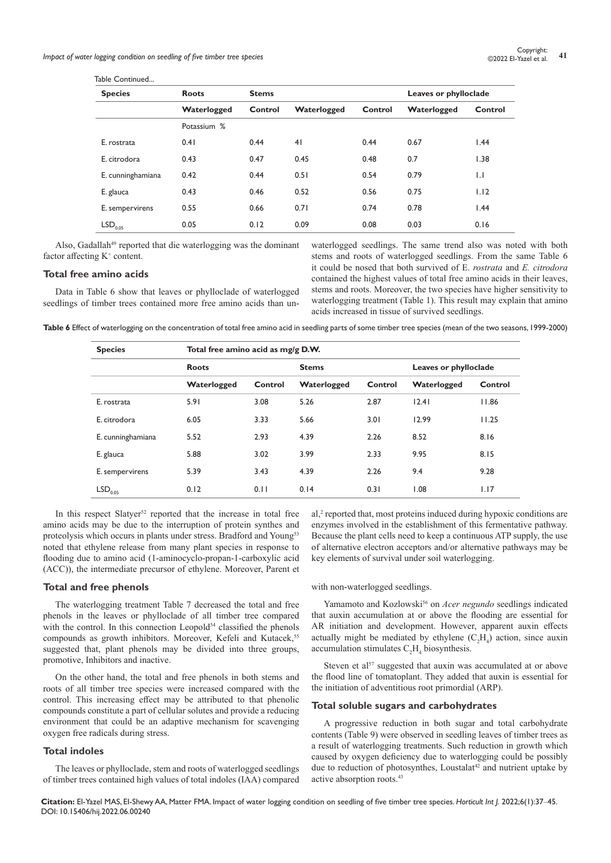Table Continued...

| .                     |              |              |                |         |                       |              |
|-----------------------|--------------|--------------|----------------|---------|-----------------------|--------------|
| <b>Species</b>        | <b>Roots</b> | <b>Stems</b> |                |         | Leaves or phylloclade |              |
|                       | Waterlogged  | Control      | Waterlogged    | Control | Waterlogged           | Control      |
|                       | Potassium %  |              |                |         |                       |              |
| E. rostrata           | 0.41         | 0.44         | 4 <sub>1</sub> | 0.44    | 0.67                  | 1.44         |
| E. citrodora          | 0.43         | 0.47         | 0.45           | 0.48    | 0.7                   | 1.38         |
| E. cunninghamiana     | 0.42         | 0.44         | 0.51           | 0.54    | 0.79                  | $\mathsf{L}$ |
| E. glauca             | 0.43         | 0.46         | 0.52           | 0.56    | 0.75                  | 1.12         |
| E. sempervirens       | 0.55         | 0.66         | 0.71           | 0.74    | 0.78                  | 1.44         |
| $LSD$ <sub>0.05</sub> | 0.05         | 0.12         | 0.09           | 0.08    | 0.03                  | 0.16         |

Also, Gadallah<sup>49</sup> reported that die waterlogging was the dominant factor affecting K<sup>+</sup> content.

# **Total free amino acids**

Data in Table 6 show that leaves or phylloclade of waterlogged seedlings of timber trees contained more free amino acids than unwaterlogged seedlings. The same trend also was noted with both stems and roots of waterlogged seedlings. From the same Table 6 it could be nosed that both survived of E. *rostrata* and *E. citrodora*  contained the highest values of total free amino acids in their leaves, stems and roots. Moreover, the two species have higher sensitivity to waterlogging treatment (Table 1). This result may explain that amino acids increased in tissue of survived seedlings.

**Table 6** Effect of waterlogging on the concentration of total free amino acid in seedling parts of some timber tree species (mean of the two seasons, 1999-2000)

| <b>Species</b>           | Total free amino acid as mg/g D.W. |         |              |         |                       |         |
|--------------------------|------------------------------------|---------|--------------|---------|-----------------------|---------|
|                          | <b>Roots</b>                       |         | <b>Stems</b> |         | Leaves or phylloclade |         |
|                          | Waterlogged                        | Control | Waterlogged  | Control | Waterlogged           | Control |
| E. rostrata              | 5.91                               | 3.08    | 5.26         | 2.87    | 12.41                 | 11.86   |
| E. citrodora             | 6.05                               | 3.33    | 5.66         | 3.01    | 12.99                 | 11.25   |
| E. cunninghamiana        | 5.52                               | 2.93    | 4.39         | 2.26    | 8.52                  | 8.16    |
| E. glauca                | 5.88                               | 3.02    | 3.99         | 2.33    | 9.95                  | 8.15    |
| E. sempervirens          | 5.39                               | 3.43    | 4.39         | 2.26    | 9.4                   | 9.28    |
| $\mathsf{LSD}_{_{0.05}}$ | 0.12                               | 0.11    | 0.14         | 0.31    | 1.08                  | 1.17    |

In this respect Slatyer<sup>52</sup> reported that the increase in total free amino acids may be due to the interruption of protein synthes and proteolysis which occurs in plants under stress. Bradford and Young<sup>53</sup> noted that ethylene release from many plant species in response to flooding due to amino acid (1-aminocyclo-propan-1-carboxylic acid (ACC)), the intermediate precursor of ethylene. Moreover, Parent et

#### **Total and free phenols**

The waterlogging treatment Table 7 decreased the total and free phenols in the leaves or phylloclade of all timber tree compared with the control. In this connection Leopold<sup>54</sup> classified the phenols compounds as growth inhibitors. Moreover, Kefeli and Kutacek,<sup>55</sup> suggested that, plant phenols may be divided into three groups, promotive, Inhibitors and inactive.

On the other hand, the total and free phenols in both stems and roots of all timber tree species were increased compared with the control. This increasing effect may be attributed to that phenolic compounds constitute a part of cellular solutes and provide a reducing environment that could be an adaptive mechanism for scavenging oxygen free radicals during stress.

#### **Total indoles**

The leaves or phylloclade, stem and roots of waterlogged seedlings of timber trees contained high values of total indoles (IAA) compared al,<sup>2</sup> reported that, most proteins induced during hypoxic conditions are enzymes involved in the establishment of this fermentative pathway. Because the plant cells need to keep a continuous ATP supply, the use of alternative electron acceptors and/or alternative pathways may be key elements of survival under soil waterlogging.

with non-waterlogged seedlings.

Yamamoto and Kozlowski<sup>56</sup> on *Acer negundo* seedlings indicated that auxin accumulation at or above the flooding are essential for AR initiation and development. However, apparent auxin effects actually might be mediated by ethylene  $(C_2H_4)$  action, since auxin accumulation stimulates  $C_2H_4$  biosynthesis.

Steven et al<sup>57</sup> suggested that auxin was accumulated at or above the flood line of tomatoplant. They added that auxin is essential for the initiation of adventitious root primordial (ARP).

#### **Total soluble sugars and carbohydrates**

A progressive reduction in both sugar and total carbohydrate contents (Table 9) were observed in seedling leaves of timber trees as a result of waterlogging treatments. Such reduction in growth which caused by oxygen deficiency due to waterlogging could be possibly due to reduction of photosynthes, Loustalat<sup>42</sup> and nutrient uptake by active absorption roots.43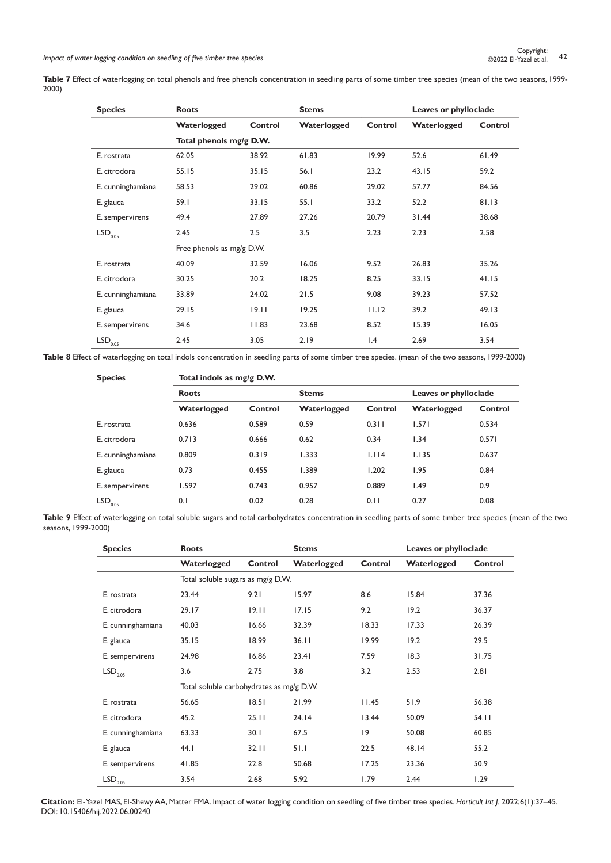Table 7 Effect of waterlogging on total phenols and free phenols concentration in seedling parts of some timber tree species (mean of the two seasons, 1999-2000)

| <b>Species</b>           | <b>Roots</b>              |         | <b>Stems</b> |                 |             | Leaves or phylloclade |
|--------------------------|---------------------------|---------|--------------|-----------------|-------------|-----------------------|
|                          | Waterlogged               | Control | Waterlogged  | Control         | Waterlogged | Control               |
|                          | Total phenols mg/g D.W.   |         |              |                 |             |                       |
| E. rostrata              | 62.05                     | 38.92   | 61.83        | 19.99           | 52.6        | 61.49                 |
| E. citrodora             | 55.15                     | 35.15   | 56.1         | 23.2            | 43.15       | 59.2                  |
| E. cunninghamiana        | 58.53                     | 29.02   | 60.86        | 29.02           | 57.77       | 84.56                 |
| E. glauca                | 59.I                      | 33.15   | 55.1         | 33.2            | 52.2        | 81.13                 |
| E. sempervirens          | 49.4                      | 27.89   | 27.26        | 20.79           | 31.44       | 38.68                 |
| $\mathsf{LSD}_{0.05}$    | 2.45                      | 2.5     | 3.5          | 2.23            | 2.23        | 2.58                  |
|                          | Free phenols as mg/g D.W. |         |              |                 |             |                       |
| E. rostrata              | 40.09                     | 32.59   | 16.06        | 9.52            | 26.83       | 35.26                 |
| E. citrodora             | 30.25                     | 20.2    | 18.25        | 8.25            | 33.15       | 41.15                 |
| E. cunninghamiana        | 33.89                     | 24.02   | 21.5         | 9.08            | 39.23       | 57.52                 |
| E. glauca                | 29.15                     | 19.11   | 19.25        | 11.12           | 39.2        | 49.13                 |
| E. sempervirens          | 34.6                      | 11.83   | 23.68        | 8.52            | 15.39       | 16.05                 |
| $\mathsf{LSD}_{_{0.05}}$ | 2.45                      | 3.05    | 2.19         | $\mathsf{I}$ .4 | 2.69        | 3.54                  |

Table 8 Effect of waterlogging on total indols concentration in seedling parts of some timber tree species. (mean of the two seasons, 1999-2000)

| <b>Species</b>      | Total indols as mg/g D.W. |         |              |         |                       |         |
|---------------------|---------------------------|---------|--------------|---------|-----------------------|---------|
|                     | <b>Roots</b>              |         | <b>Stems</b> |         | Leaves or phylloclade |         |
|                     | Waterlogged               | Control | Waterlogged  | Control | Waterlogged           | Control |
| E. rostrata         | 0.636                     | 0.589   | 0.59         | 0.311   | 1.571                 | 0.534   |
| E. citrodora        | 0.713                     | 0.666   | 0.62         | 0.34    | 1.34                  | 0.571   |
| E. cunninghamiana   | 0.809                     | 0.319   | 1.333        | 1.114   | 1.135                 | 0.637   |
| E. glauca           | 0.73                      | 0.455   | 1.389        | 1.202   | 1.95                  | 0.84    |
| E. sempervirens     | 1.597                     | 0.743   | 0.957        | 0.889   | 1.49                  | 0.9     |
| LSD <sub>0.05</sub> | 0.1                       | 0.02    | 0.28         | 0.11    | 0.27                  | 0.08    |

**Table 9** Effect of waterlogging on total soluble sugars and total carbohydrates concentration in seedling parts of some timber tree species (mean of the two seasons, 1999-2000)

| <b>Species</b>        | <b>Roots</b>                             |         | <b>Stems</b> |         | Leaves or phylloclade |         |
|-----------------------|------------------------------------------|---------|--------------|---------|-----------------------|---------|
|                       | Waterlogged                              | Control | Waterlogged  | Control | Waterlogged           | Control |
|                       | Total soluble sugars as mg/g D.W.        |         |              |         |                       |         |
| E. rostrata           | 23.44                                    | 9.21    | 15.97        | 8.6     | 15.84                 | 37.36   |
| E. citrodora          | 29.17                                    | 19.11   | 17.15        | 9.2     | 19.2                  | 36.37   |
| E. cunninghamiana     | 40.03                                    | 16.66   | 32.39        | 18.33   | 17.33                 | 26.39   |
| E. glauca             | 35.15                                    | 18.99   | 36.11        | 19.99   | 19.2                  | 29.5    |
| E. sempervirens       | 24.98                                    | 16.86   | 23.41        | 7.59    | 18.3                  | 31.75   |
| LSD <sub>0.05</sub>   | 3.6                                      | 2.75    | 3.8          | 3.2     | 2.53                  | 2.81    |
|                       | Total soluble carbohydrates as mg/g D.W. |         |              |         |                       |         |
| E. rostrata           | 56.65                                    | 18.51   | 21.99        | 11.45   | 51.9                  | 56.38   |
| E. citrodora          | 45.2                                     | 25.11   | 24.14        | 13.44   | 50.09                 | 54.11   |
| E. cunninghamiana     | 63.33                                    | 30.1    | 67.5         | 9       | 50.08                 | 60.85   |
| E. glauca             | 44. I                                    | 32.11   | 51.1         | 22.5    | 48.14                 | 55.2    |
| E. sempervirens       | 41.85                                    | 22.8    | 50.68        | 17.25   | 23.36                 | 50.9    |
| $LSD$ <sub>0.05</sub> | 3.54                                     | 2.68    | 5.92         | 1.79    | 2.44                  | 1.29    |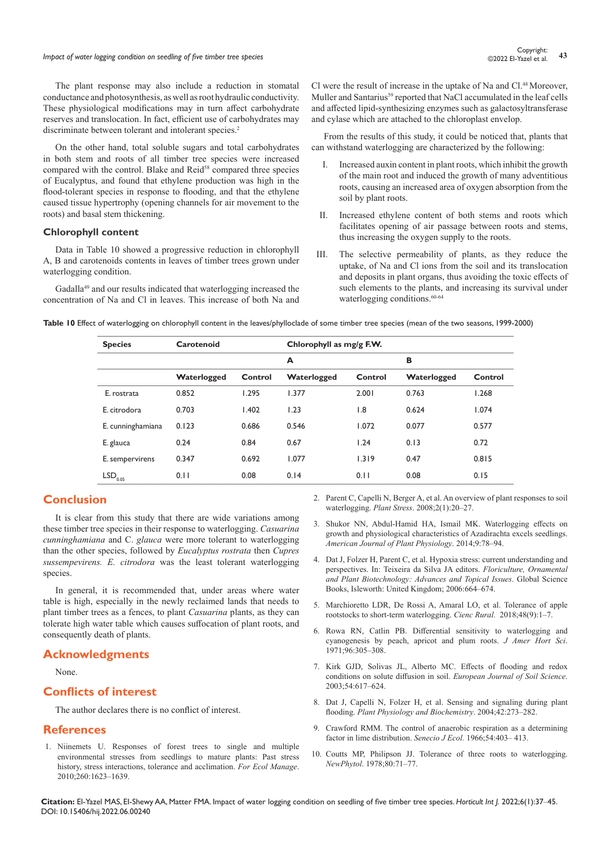# **Impact of water logging condition on seedling of five timber tree species 1999** Controller **1999** Copyright: 43<br><sup>43</sup> BI-Yazel et al.

The plant response may also include a reduction in stomatal conductance and photosynthesis, as well as root hydraulic conductivity. These physiological modifications may in turn affect carbohydrate reserves and translocation. In fact, efficient use of carbohydrates may discriminate between tolerant and intolerant species.<sup>2</sup>

On the other hand, total soluble sugars and total carbohydrates in both stem and roots of all timber tree species were increased compared with the control. Blake and Reid<sup>58</sup> compared three species of Eucalyptus, and found that ethylene production was high in the flood-tolerant species in response to flooding, and that the ethylene caused tissue hypertrophy (opening channels for air movement to the roots) and basal stem thickening.

#### **Chlorophyll content**

Data in Table 10 showed a progressive reduction in chlorophyll A, B and carotenoids contents in leaves of timber trees grown under waterlogging condition.

Gadalla<sup>49</sup> and our results indicated that waterlogging increased the concentration of Na and Cl in leaves. This increase of both Na and

Cl were the result of increase in the uptake of Na and Cl.48 Moreover, Muller and Santarius<sup>59</sup> reported that NaCl accumulated in the leaf cells and affected lipid-synthesizing enzymes such as galactosyltransferase and cylase which are attached to the chloroplast envelop.

From the results of this study, it could be noticed that, plants that can withstand waterlogging are characterized by the following:

- I. Increased auxin content in plant roots, which inhibit the growth of the main root and induced the growth of many adventitious roots, causing an increased area of oxygen absorption from the soil by plant roots.
- II. Increased ethylene content of both stems and roots which facilitates opening of air passage between roots and stems, thus increasing the oxygen supply to the roots.
- III. The selective permeability of plants, as they reduce the uptake, of Na and Cl ions from the soil and its translocation and deposits in plant organs, thus avoiding the toxic effects of such elements to the plants, and increasing its survival under waterlogging conditions.<sup>60-64</sup>

**Table 10** Effect of waterlogging on chlorophyll content in the leaves/phylloclade of some timber tree species (mean of the two seasons, 1999-2000)

| <b>Species</b>        | Carotenoid  |         |             | Chlorophyll as mg/g F.W. |             |         |
|-----------------------|-------------|---------|-------------|--------------------------|-------------|---------|
|                       |             |         | A           |                          | в           |         |
|                       | Waterlogged | Control | Waterlogged | Control                  | Waterlogged | Control |
| E. rostrata           | 0.852       | .295    | 1.377       | 2.001                    | 0.763       | 1.268   |
| E. citrodora          | 0.703       | 1.402   | 1.23        | $\overline{1.8}$         | 0.624       | 1.074   |
| E. cunninghamiana     | 0.123       | 0.686   | 0.546       | 1.072                    | 0.077       | 0.577   |
| E. glauca             | 0.24        | 0.84    | 0.67        | 1.24                     | 0.13        | 0.72    |
| E. sempervirens       | 0.347       | 0.692   | 1.077       | 1.319                    | 0.47        | 0.815   |
| $\mathsf{LSD}_{0.05}$ | 0.11        | 0.08    | 0.14        | 0.11                     | 0.08        | 0.15    |

# **Conclusion**

It is clear from this study that there are wide variations among these timber tree species in their response to waterlogging. *Casuarina cunninghamiana* and C. *glauca* were more tolerant to waterlogging than the other species, followed by *Eucalyptus rostrata* then *Cupres sussempevirens. E. citrodora* was the least tolerant waterlogging species.

In general, it is recommended that, under areas where water table is high, especially in the newly reclaimed lands that needs to plant timber trees as a fences, to plant *Casuarina* plants, as they can tolerate high water table which causes suffocation of plant roots, and consequently death of plants.

#### **Acknowledgments**

None.

# **Conflicts of interest**

The author declares there is no conflict of interest.

#### **References**

1. [Niinemets U. Responses of forest trees to single and multiple](https://scialert.net/fulltext/?doi=ajpp.2014.78.94#1318082_ja)  [environmental stresses from seedlings to mature plants: Past stress](https://scialert.net/fulltext/?doi=ajpp.2014.78.94#1318082_ja)  [history, stress interactions, tolerance and acclimation.](https://scialert.net/fulltext/?doi=ajpp.2014.78.94#1318082_ja) *For Ecol Manage*. [2010;260:1623–1639.](https://scialert.net/fulltext/?doi=ajpp.2014.78.94#1318082_ja)

- 2. [Parent C, Capelli N, Berger A, et al. An overview of plant responses to soil](https://hal.archives-ouvertes.fr/hal-00425503)  waterlogging. *Plant Stress*[. 2008;2\(1\):20–27.](https://hal.archives-ouvertes.fr/hal-00425503)
- 3. [Shukor NN, Abdul-Hamid HA, Ismail MK. Waterlogging effects on](https://scialert.net/fulltext/?doi=ajpp.2014.78.94)  [growth and physiological characteristics of Azadirachta excels seedlings.](https://scialert.net/fulltext/?doi=ajpp.2014.78.94)  *[American Journal of Plant Physiology](https://scialert.net/fulltext/?doi=ajpp.2014.78.94)*. 2014;9:78–94.
- 4. Dat J, Folzer H, Parent C, et al. Hypoxia stress: current understanding and perspectives. In: Teixeira da Silva JA editors. *Floriculture, Ornamental and Plant Biotechnology: Advances and Topical Issues*. Global Science Books, Isleworth: United Kingdom; 2006:664–674.
- 5. [Marchioretto LDR, De Rossi A, Amaral LO, et al. Tolerance of apple](https://www.scielo.br/j/cr/a/v5gpLwK9Y794mfLCqDX4QLH/?lang=en)  [rootstocks to short-term waterlogging.](https://www.scielo.br/j/cr/a/v5gpLwK9Y794mfLCqDX4QLH/?lang=en) *Cienc Rural.* 2018;48(9):1–7.
- 6. Rowa RN, Catlin PB. Differential sensitivity to waterlogging and cyanogenesis by peach, apricot and plum roots. *J Amer Hort Sci*. 1971;96:305–308.
- 7. [Kirk GJD, Solivas JL, Alberto MC. Effects of flooding and redox](https://bsssjournals.onlinelibrary.wiley.com/doi/abs/10.1046/j.1365-2389.2003.00532.x)  [conditions on solute diffusion in soil.](https://bsssjournals.onlinelibrary.wiley.com/doi/abs/10.1046/j.1365-2389.2003.00532.x) *European Journal of Soil Science*. [2003;54:617–624.](https://bsssjournals.onlinelibrary.wiley.com/doi/abs/10.1046/j.1365-2389.2003.00532.x)
- 8. [Dat J, Capelli N, Folzer H, et al. Sensing and signaling during plant](https://pubmed.ncbi.nlm.nih.gov/15120111/)  flooding. *[Plant Physiology and Biochemistry](https://pubmed.ncbi.nlm.nih.gov/15120111/)*. 2004;42:273–282.
- 9. Crawford RMM. The control of anaerobic respiration as a determining factor in lime distribution. *Senecio J Ecol.* 1966;54:403– 413.
- 10. [Coutts MP, Philipson JJ. Tolerance of three roots to waterlogging.](https://www.jstor.org/stable/2431634)  *NewPhytol*[. 1978;80:71–77.](https://www.jstor.org/stable/2431634)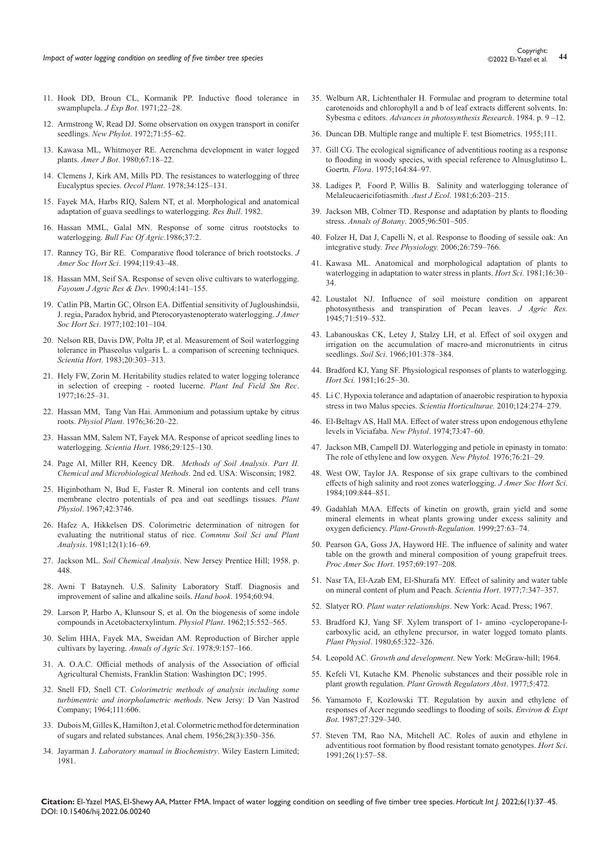- 11. [Hook DD, Broun CL, Kormanik PP. Inductive flood tolerance in](https://www.srs.fs.usda.gov/pubs/ja/1971/ja_1971_hook_001.pdf)  [swamplupela.](https://www.srs.fs.usda.gov/pubs/ja/1971/ja_1971_hook_001.pdf) *J Exp Bot*. 1971;22–28.
- 12. [Armstrong W, Read DJ. Some observation on oxygen transport in conifer](https://www.jstor.org/stable/2430588)  seedlings. *New Phylot*[. 1972;71:55–62.](https://www.jstor.org/stable/2430588)
- 13. Kawasa ML, Whitmoyer RE. Aerenchma development in water logged plants. *Amer J Bot*. 1980;67:18–22.
- 14. [Clemens J, Kirk AM, Mills PD. The resistances to waterlogging of three](https://pubmed.ncbi.nlm.nih.gov/28309544/)  [Eucalyptus species.](https://pubmed.ncbi.nlm.nih.gov/28309544/) *Oecol Plant*. 1978;34:125–131.
- 15. Fayek MA, Harbs RIQ, Salem NT, et al. Morphological and anatomical adaptation of guava seedlings to waterlogging. *Res Bull*. 1982.
- 16. [Hassan MML, Galal MN. Response of some citrus rootstocks to](https://www.ishs.org/ishs-article/1327_84)  waterlogging. *[Bull Fac Of Agric](https://www.ishs.org/ishs-article/1327_84)*.1986;37:2.
- 17. [Ranney TG, Bir RE. Comparative flood tolerance of brich rootstocks.](https://mcilab.ces.ncsu.edu/wp-content/uploads/2017/07/ranney-and-bir-1994a.pdf?fwd=no) *J [Amer Soc Hort Sci](https://mcilab.ces.ncsu.edu/wp-content/uploads/2017/07/ranney-and-bir-1994a.pdf?fwd=no)*. 1994;119:43–48.
- 18. [Hassan MM, Seif SA. Response of seven olive cultivars to waterlogging.](https://www.cabdirect.org/cabdirect/abstract/19910304075)  *[Fayoum J Agric Res & Dev](https://www.cabdirect.org/cabdirect/abstract/19910304075)*. 1990;4:141–155.
- 19. [Catlin PB, Martin GC, Olrson EA. Diffential sensitivity of Jugloushindsii,](https://agris.fao.org/agris-search/search.do?recordID=US19770179976)  [J. regia, Paradox hybrid, and Pterocoryastenopterato waterlogging.](https://agris.fao.org/agris-search/search.do?recordID=US19770179976) *J Amer Soc Hort Sci*[. 1977;102:101–104.](https://agris.fao.org/agris-search/search.do?recordID=US19770179976)
- 20. [Nelson RB, Davis DW, Polta JP, et al. Measurement of Soil waterlogging](https://library.ciat.cgiar.org/cgi-bin/koha/opac-detail.pl?biblionumber=89786)  [tolerance in Phaseolus vulgaris L. a comparison of screening techniques.](https://library.ciat.cgiar.org/cgi-bin/koha/opac-detail.pl?biblionumber=89786)  *Scientia Hort*[. 1983;20:303–313.](https://library.ciat.cgiar.org/cgi-bin/koha/opac-detail.pl?biblionumber=89786)
- 21. Hely FW, Zorin M. Heritability studies related to water logging tolerance in selection of creeping - rooted lucerne. *Plant Ind Field Stn Rec*. 1977;16:25–31.
- 22. [Hassan MM, Tang Van Hai. Ammonium and potassium uptake by citrus](https://onlinelibrary.wiley.com/doi/abs/10.1111/j.1399-3054.1976.tb05021.x)  roots. *Physiol Plant*[. 1976;36:20–22.](https://onlinelibrary.wiley.com/doi/abs/10.1111/j.1399-3054.1976.tb05021.x)
- 23. [Hassan MM, Salem NT, Fayek MA. Response of apricot seedling lines to](https://vdocuments.mx/response-of-apricot-seedling-lines-to-waterlogging.html)  waterlogging. *Scientia Hort*[. 1986;29:125–130.](https://vdocuments.mx/response-of-apricot-seedling-lines-to-waterlogging.html)
- 24. Page AI, Miller RH, Keency DR. *Methods of Soil Analysis. Part II. Chemical and Microbiological Methods*. 2nd ed. USA: Wisconsin; 1982.
- 25. [Higinbotham N, Bud E, Faster R. Mineral ion contents and cell trans](https://pubmed.ncbi.nlm.nih.gov/16656483/)  [membrane electro potentials of pea and oat seedlings tissues.](https://pubmed.ncbi.nlm.nih.gov/16656483/) *Plant Physiol*[. 1967;42:3746.](https://pubmed.ncbi.nlm.nih.gov/16656483/)
- 26. [Hafez A, Hikkelsen DS. Colorimetric determination of nitrogen for](https://www.tandfonline.com/doi/abs/10.1080/00103628109367127)  [evaluating the nutritional status of rice.](https://www.tandfonline.com/doi/abs/10.1080/00103628109367127) *Commnu Soil Sci and Plant Analysis*[. 1981;12\(1\):16–69.](https://www.tandfonline.com/doi/abs/10.1080/00103628109367127)
- 27. Jackson ML. *Soil Chemical Analysis*. New Jersey Prentice Hill; 1958. p. 448.
- 28. [Awni T Batayneh. U.S. Salinity Laboratory Staff. Diagnosis and](https://www.scirp.org/(S(i43dyn45teexjx455qlt3d2q))/reference/ReferencesPapers.aspx?ReferenceID=83271)  [improvement of saline and alkaline soils.](https://www.scirp.org/(S(i43dyn45teexjx455qlt3d2q))/reference/ReferencesPapers.aspx?ReferenceID=83271) *Hand book*. 1954;60:94.
- 29. [Larson P, Harbo A, Klunsour S, et al. On the biogenesis of some indole](https://www.scirp.org/%28S%28351jmbntvnsjt1aadkposzje%29%29/reference/referencespapers.aspx?referenceid=1238741)  [compounds in Acetobacterxylintum.](https://www.scirp.org/%28S%28351jmbntvnsjt1aadkposzje%29%29/reference/referencespapers.aspx?referenceid=1238741) *Physiol Plant*. 1962;15:552–565.
- 30. [Selim HHA, Fayek MA, Sweidan AM. Reproduction of Bircher apple](https://agris.fao.org/agris-search/search.do?recordID=EG19790397693)  [cultivars by layering.](https://agris.fao.org/agris-search/search.do?recordID=EG19790397693) *Annals of Agric Sci*. 1978;9:157–166.
- 31. A. O.A.C. Official methods of analysis of the Association of official Agricultural Chemists, Franklin Station: Washington DC; 1995.
- 32. Snell FD, Snell CT. *Colorimetric methods of analysis including some turbimentric and inorpholametric methods*. New Jersy: D Van Nastrod Company; 1964;111:606.
- 33. [Dubois M, Gilles K, Hamilton J, et al. Colormetric method for determination](https://pubs.acs.org/doi/10.1021/ac60111a017)  [of sugars and related substances. Anal chem. 1956;28\(3\):350–356.](https://pubs.acs.org/doi/10.1021/ac60111a017)
- 34. Jayarman J. *[Laboratory manual in Biochemistry](https://kau.in/sites/default/files/documents/prsvkm_laboratory_manual_of_biochemistry.pdf)*. Wiley Eastern Limited; [1981.](https://kau.in/sites/default/files/documents/prsvkm_laboratory_manual_of_biochemistry.pdf)
- 35. [Welburn AR, Lichtenthaler H. Formulae and program to determine total](https://link.springer.com/chapter/10.1007/978-94-017-6368-4_3)  [carotenoids and chlorophyll a and b of leaf extracts different solvents. In:](https://link.springer.com/chapter/10.1007/978-94-017-6368-4_3)  Sybesma c editors. *[Advances in photosynthesis Research](https://link.springer.com/chapter/10.1007/978-94-017-6368-4_3)*. 1984. p. 9 –12.
- 36. [Duncan DB. Multiple range and multiple F. test Biometrics. 1955;111.](https://www.jstor.org/stable/3001478)
- 37. Gill CG. The ecological significance of adventitious rooting as a response to flooding in woody species, with special reference to Alnusglutinso L. Goertn*. Flora*. 1975;164:84–97.
- 38. Ladiges P, Foord P, Willis B. Salinity and waterlogging tolerance of Melaleucaericifotiasmith. *Aust J Ecol*. 1981;6:203–215.
- 39. [Jackson MB, Colmer TD. Response and adaptation by plants to flooding](https://pubmed.ncbi.nlm.nih.gov/16217870/)  stress. *Annals of Botany*[. 2005;96:501–505.](https://pubmed.ncbi.nlm.nih.gov/16217870/)
- 40. [Folzer H, Dat J, Capelli N, et al. Response to flooding of sessile oak: An](https://academic.oup.com/treephys/article/26/6/759/1647712)  integrative study. *Tree Physiology.* [2006;26:759–766.](https://academic.oup.com/treephys/article/26/6/759/1647712)
- 41. Kawasa ML. Anatomical and morphological adaptation of plants to waterlogging in adaptation to water stress in plants. *Hort Sci.* 1981;16:30– 34.
- 42. [Loustalot NJ. Influence of soil moisture condition on apparent](https://naldc.nal.usda.gov/download/IND43969970/PDF)  [photosynthesis and transpiration of Pecan leaves.](https://naldc.nal.usda.gov/download/IND43969970/PDF) *J Agric Res.* [1945;71:519–532.](https://naldc.nal.usda.gov/download/IND43969970/PDF)
- 43. [Labanouskas CK, Letey J, Stalzy LH, et al. Effect of soil oxygen and](https://acsess.onlinelibrary.wiley.com/doi/abs/10.2136/sssaj1965.03615995002900010018x)  [irrigation on the accumulation of macro-and micronutrients in citrus](https://acsess.onlinelibrary.wiley.com/doi/abs/10.2136/sssaj1965.03615995002900010018x)  seedlings. *Soil Sci*[. 1966;101:378–384.](https://acsess.onlinelibrary.wiley.com/doi/abs/10.2136/sssaj1965.03615995002900010018x)
- 44. Bradford KJ, Yang SF. Physiological responses of plants to waterlogging. *Hort Sci.* 1981;16:25–30.
- 45. [Li C. Hypoxia tolerance and adaptation of anaerobic respiration to hypoxia](https://agris.fao.org/agris-search/search.do?recordID=US201301805050)  [stress in two Malus species.](https://agris.fao.org/agris-search/search.do?recordID=US201301805050) *Scientia Horticulturae.* 2010;124:274–279.
- 46. [El-Beltagv AS, Hall MA. Effect of water stress upon endogenous ethylene](https://www.jstor.org/stable/2433431)  [levels in Viciafaba.](https://www.jstor.org/stable/2433431) *New Phytol*. 1974;73:47–60.
- 47. [Jackson MB, Campell DJ. Waterlogging and petiole in epinasty in tomato:](https://nph.onlinelibrary.wiley.com/doi/abs/10.1111/j.1469-8137.1976.tb01434.x)  [The role of ethylene and low oxygen.](https://nph.onlinelibrary.wiley.com/doi/abs/10.1111/j.1469-8137.1976.tb01434.x) *New Phytol.* 1976;76:21–29.
- 48. West OW, Taylor JA. Response of six grape cultivars to the combined effects of high salinity and root zones waterlogging. *J Amer Soc Hort Sci*. 1984;109:844–851.
- 49. [Gadahlah MAA. Effects of kinetin on growth, grain yield and some](https://agris.fao.org/agris-search/search.do?recordID=US201302913052)  [mineral elements in wheat plants growing under excess salinity and](https://agris.fao.org/agris-search/search.do?recordID=US201302913052)  oxygen deficiency. *[Plant-Growth-Regulation](https://agris.fao.org/agris-search/search.do?recordID=US201302913052)*. 1999;27:63–74.
- 50. Pearson GA, Goss JA, Hayword HE. The influence of salinity and water table on the growth and mineral composition of young grapefruit trees. *Proc Amer Soc Hort*. 1957;69:197–208.
- 51. [Nasr TA, El-Azab EM, El-Shurafa MY. Effect of salinity and water table](http://www.shurafa-datepalm.com/Effect Of Salinity And Water Table oo the Mineral ocntent of plum and peach.pdf)  [on mineral content of plum and Peach.](http://www.shurafa-datepalm.com/Effect Of Salinity And Water Table oo the Mineral ocntent of plum and peach.pdf) *Scientia Hort*. 1977;7:347–357.
- 52. Slatyer RO. *Plant water relationships*. New York: Acad. Press; 1967.
- 53. [Bradford KJ, Yang SF. Xylem transport of 1- amino -cycloperopane-l](https://www.ncbi.nlm.nih.gov/pmc/articles/PMC440319/)[carboxylic acid, an ethylene precursor, in water logged tomato plants.](https://www.ncbi.nlm.nih.gov/pmc/articles/PMC440319/)  *Plant Physiol*[. 1980;65:322–326.](https://www.ncbi.nlm.nih.gov/pmc/articles/PMC440319/)
- 54. Leopold AC. *Growth and development*. New York: McGraw-hill; 1964.
- 55. [Kefeli VI, Kutache KM. Phenolic substances and their possible role in](https://link.springer.com/chapter/10.1007/978-3-642-66589-9_20)  plant growth regulation. *[Plant Growth Regulators Abst](https://link.springer.com/chapter/10.1007/978-3-642-66589-9_20)*. 1977;5:472.
- 56. [Yamamoto F, Kozlowski TT. Regulation by auxin and ethylene of](https://agris.fao.org/agris-search/search.do?recordID=US201301431119)  [responses of Acer negundo seedlings to flooding of soils.](https://agris.fao.org/agris-search/search.do?recordID=US201301431119) *Environ & Expt Bot*[. 1987;27:329–340.](https://agris.fao.org/agris-search/search.do?recordID=US201301431119)
- 57. [Steven TM, Rao NA, Mitchell AC. Roles of auxin and ethylene in](https://www.academia.edu/19673381/Roles_of_Auxin_and_Ethylene_in_Adventitious_Root_Formation_by_a_Flood_resistant_Tomato_Genotype)  [adventitious root formation by flood resistant tomato genotypes.](https://www.academia.edu/19673381/Roles_of_Auxin_and_Ethylene_in_Adventitious_Root_Formation_by_a_Flood_resistant_Tomato_Genotype) *Hort Sci*. [1991;26\(1\):57–58.](https://www.academia.edu/19673381/Roles_of_Auxin_and_Ethylene_in_Adventitious_Root_Formation_by_a_Flood_resistant_Tomato_Genotype)